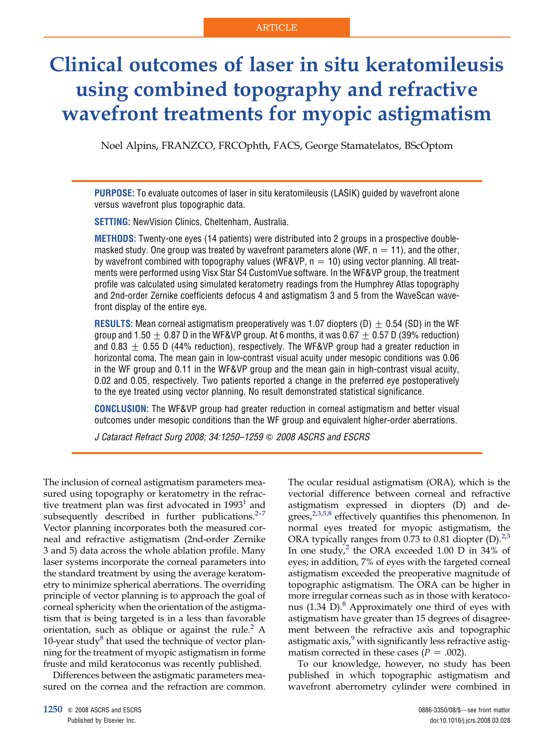# Clinical outcomes of laser in situ keratomileusis using combined topography and refractive wavefront treatments for myopic astigmatism

Noel Alpins, FRANZCO, FRCOphth, FACS, George Stamatelatos, BScOptom

PURPOSE: To evaluate outcomes of laser in situ keratomileusis (LASIK) guided by wavefront alone versus wavefront plus topographic data.

**SETTING:** NewVision Clinics, Cheltenham, Australia.

METHODS: Twenty-one eyes (14 patients) were distributed into 2 groups in a prospective doublemasked study. One group was treated by wavefront parameters alone (WF,  $n = 11$ ), and the other, by wavefront combined with topography values (WF&VP,  $n = 10$ ) using vector planning. All treatments were performed using Visx Star S4 CustomVue software. In the WF&VP group, the treatment profile was calculated using simulated keratometry readings from the Humphrey Atlas topography and 2nd-order Zernike coefficients defocus 4 and astigmatism 3 and 5 from the WaveScan wavefront display of the entire eye.

**RESULTS:** Mean corneal astigmatism preoperatively was 1.07 diopters (D)  $+$  0.54 (SD) in the WF group and 1.50  $+$  0.87 D in the WF&VP group. At 6 months, it was 0.67  $+$  0.57 D (39% reduction) and 0.83  $\pm$  0.55 D (44% reduction), respectively. The WF&VP group had a greater reduction in horizontal coma. The mean gain in low-contrast visual acuity under mesopic conditions was 0.06 in the WF group and 0.11 in the WF&VP group and the mean gain in high-contrast visual acuity, 0.02 and 0.05, respectively. Two patients reported a change in the preferred eye postoperatively to the eye treated using vector planning. No result demonstrated statistical significance.

CONCLUSION: The WF&VP group had greater reduction in corneal astigmatism and better visual outcomes under mesopic conditions than the WF group and equivalent higher-order aberrations.

J Cataract Refract Surg 2008; 34:1250–1259 Q 2008 ASCRS and ESCRS

The inclusion of corneal astigmatism parameters measured using topography or keratometry in the refractive treatment plan was first advocated in  $1993<sup>1</sup>$  $1993<sup>1</sup>$  and subsequently described in further publications. $2-7$ Vector planning incorporates both the measured corneal and refractive astigmatism (2nd-order Zernike 3 and 5) data across the whole ablation profile. Many laser systems incorporate the corneal parameters into the standard treatment by using the average keratometry to minimize spherical aberrations. The overriding principle of vector planning is to approach the goal of corneal sphericity when the orientation of the astigmatism that is being targeted is in a less than favorable orientation, such as oblique or against the rule.<sup>[2](#page-9-0)</sup> A 10-year study $8$  that used the technique of vector planning for the treatment of myopic astigmatism in forme fruste and mild keratoconus was recently published.

Differences between the astigmatic parameters measured on the cornea and the refraction are common.

normal eyes treated for myopic astigmatism, the ORA typically ranges from 0.73 to 0.81 diopter  $(D)$ .<sup>[2,3](#page-9-0)</sup> In one study, $^2$  $^2$  the ORA exceeded 1.00 D in 34% of eyes; in addition, 7% of eyes with the targeted corneal astigmatism exceeded the preoperative magnitude of topographic astigmatism. The ORA can be higher in more irregular corneas such as in those with keratoconus  $(1.34 \text{ D})$ .<sup>[8](#page-9-0)</sup> Approximately one third of eyes with astigmatism have greater than 15 degrees of disagreement between the refractive axis and topographic astigmatic axis, $9$  with significantly less refractive astigmatism corrected in these cases ( $P = .002$ ). To our knowledge, however, no study has been published in which topographic astigmatism and wavefront aberrometry cylinder were combined in

The ocular residual astigmatism (ORA), which is the vectorial difference between corneal and refractive astigmatism expressed in diopters (D) and degrees,  $2,3,5,8$  effectively quantifies this phenomenon. In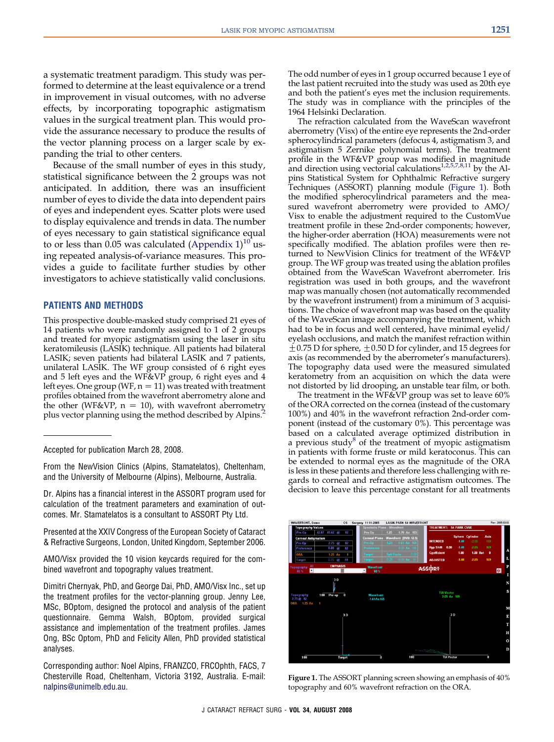a systematic treatment paradigm. This study was performed to determine at the least equivalence or a trend in improvement in visual outcomes, with no adverse effects, by incorporating topographic astigmatism values in the surgical treatment plan. This would provide the assurance necessary to produce the results of the vector planning process on a larger scale by expanding the trial to other centers.

Because of the small number of eyes in this study, statistical significance between the 2 groups was not anticipated. In addition, there was an insufficient number of eyes to divide the data into dependent pairs of eyes and independent eyes. Scatter plots were used to display equivalence and trends in data. The number of eyes necessary to gain statistical significance equal to or less than 0.05 was calculated (Appendix  $1$ )<sup>[10](#page-9-0)</sup> using repeated analysis-of-variance measures. This provides a guide to facilitate further studies by other investigators to achieve statistically valid conclusions.

## PATIENTS AND METHODS

This prospective double-masked study comprised 21 eyes of 14 patients who were randomly assigned to 1 of 2 groups and treated for myopic astigmatism using the laser in situ keratomileusis (LASIK) technique. All patients had bilateral LASIK; seven patients had bilateral LASIK and 7 patients, unilateral LASIK. The WF group consisted of 6 right eyes and 5 left eyes and the WF&VP group, 6 right eyes and 4 left eyes. One group (WF,  $n = 11$ ) was treated with treatment profiles obtained from the wavefront aberrometry alone and the other (WF&VP,  $n = 10$ ), with wavefront aberrometry plus vector planning using the method described by Alpins.[2](#page-9-0)

The odd number of eyes in 1 group occurred because 1 eye of the last patient recruited into the study was used as 20th eye and both the patient's eyes met the inclusion requirements. The study was in compliance with the principles of the 1964 Helsinki Declaration.

The refraction calculated from the WaveScan wavefront aberrometry (Visx) of the entire eye represents the 2nd-order spherocylindrical parameters (defocus 4, astigmatism 3, and astigmatism 5 Zernike polynomial terms). The treatment profile in the WF&VP group was modified in magnitude<br>and direction using vectorial calculations<sup>[1,2,5,7,8,11](#page-9-0)</sup> by the Alpins Statistical System for Ophthalmic Refractive surgery Techniques (ASSORT) planning module (Figure 1). Both the modified spherocylindrical parameters and the measured wavefront aberrometry were provided to AMO/ Visx to enable the adjustment required to the CustomVue treatment profile in these 2nd-order components; however, the higher-order aberration (HOA) measurements were not specifically modified. The ablation profiles were then returned to NewVision Clinics for treatment of the WF&VP group. The WF group was treated using the ablation profiles obtained from the WaveScan Wavefront aberrometer. Iris registration was used in both groups, and the wavefront map was manually chosen (not automatically recommended by the wavefront instrument) from a minimum of 3 acquisitions. The choice of wavefront map was based on the quality of the WaveScan image accompanying the treatment, which had to be in focus and well centered, have minimal eyelid/ eyelash occlusions, and match the manifest refraction within  $\pm$  0.75 D for sphere,  $\pm$  0.50 D for cylinder, and 15 degrees for axis (as recommended by the aberrometer's manufacturers). The topography data used were the measured simulated keratometry from an acquisition on which the data were not distorted by lid drooping, an unstable tear film, or both.

The treatment in the WF&VP group was set to leave  $60\%$ of the ORA corrected on the cornea (instead of the customary 100%) and 40% in the wavefront refraction 2nd-order component (instead of the customary 0%). This percentage was based on a calculated average optimized distribution in a previous study<sup>[8](#page-9-0)</sup> of the treatment of myopic astigmatism in patients with forme fruste or mild keratoconus. This can be extended to normal eyes as the magnitude of the ORA is less in these patients and therefore less challenging with regards to corneal and refractive astigmatism outcomes. The decision to leave this percentage constant for all treatments



Figure 1. The ASSORT planning screen showing an emphasis of 40% topography and 60% wavefront refraction on the ORA.

Accepted for publication March 28, 2008.

From the NewVision Clinics (Alpins, Stamatelatos), Cheltenham, and the University of Melbourne (Alpins), Melbourne, Australia.

Dr. Alpins has a financial interest in the ASSORT program used for calculation of the treatment parameters and examination of outcomes. Mr. Stamatelatos is a consultant to ASSORT Pty Ltd.

Presented at the XXIV Congress of the European Society of Cataract & Refractive Surgeons, London, United Kingdom, September 2006.

AMO/Visx provided the 10 vision keycards required for the combined wavefront and topography values treatment.

Dimitri Chernyak, PhD, and George Dai, PhD, AMO/Visx Inc., set up the treatment profiles for the vector-planning group. Jenny Lee, MSc, BOptom, designed the protocol and analysis of the patient questionnaire. Gemma Walsh, BOptom, provided surgical assistance and implementation of the treatment profiles. James Ong, BSc Optom, PhD and Felicity Allen, PhD provided statistical analyses.

Corresponding author: Noel Alpins, FRANZCO, FRCOphth, FACS, 7 Chesterville Road, Cheltenham, Victoria 3192, Australia. E-mail: [nalpins@unimelb.edu.au.](mailto:nalpins@unimelb.edu.au)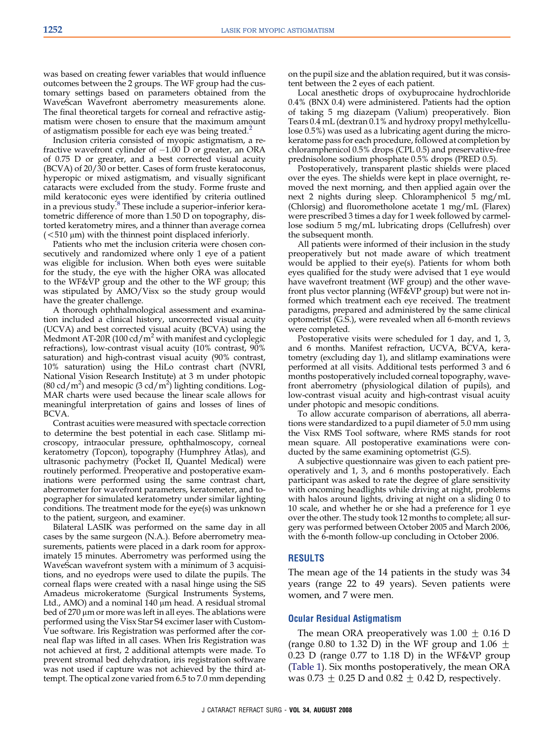was based on creating fewer variables that would influence outcomes between the 2 groups. The WF group had the customary settings based on parameters obtained from the WaveScan Wavefront aberrometry measurements alone. The final theoretical targets for corneal and refractive astigmatism were chosen to ensure that the maximum amount of astigmatism possible for each eye was being treated.<sup>[2](#page-9-0)</sup>

Inclusion criteria consisted of myopic astigmatism, a refractive wavefront cylinder of -1.00 D or greater, an ORA of 0.75 D or greater, and a best corrected visual acuity (BCVA) of 20/30 or better. Cases of form fruste keratoconus, hyperopic or mixed astigmatism, and visually significant cataracts were excluded from the study. Forme fruste and mild keratoconic eyes were identified by criteria outlined in a previous study.<sup>[8](#page-9-0)</sup> These include a superior-inferior keratometric difference of more than 1.50 D on topography, distorted keratometry mires, and a thinner than average cornea  $(<510 \mu m)$  with the thinnest point displaced inferiorly.

Patients who met the inclusion criteria were chosen consecutively and randomized where only 1 eye of a patient was eligible for inclusion. When both eyes were suitable for the study, the eye with the higher ORA was allocated to the WF&VP group and the other to the WF group; this was stipulated by AMO/Visx so the study group would have the greater challenge.

A thorough ophthalmological assessment and examination included a clinical history, uncorrected visual acuity (UCVA) and best corrected visual acuity (BCVA) using the Medmont AT-20R (100 cd/m<sup>2</sup> with manifest and cycloplegic refractions), low-contrast visual acuity (10% contrast, 90% saturation) and high-contrast visual acuity (90% contrast, 10% saturation) using the HiLo contrast chart (NVRI, National Vision Research Institute) at 3 m under photopic (80 cd/m<sup>2</sup>) and mesopic (3 cd/m<sup>2</sup>) lighting conditions. Log-MAR charts were used because the linear scale allows for meaningful interpretation of gains and losses of lines of BCVA.

Contrast acuities were measured with spectacle correction to determine the best potential in each case. Slitlamp microscopy, intraocular pressure, ophthalmoscopy, corneal keratometry (Topcon), topography (Humphrey Atlas), and ultrasonic pachymetry (Pocket II, Quantel Medical) were routinely performed. Preoperative and postoperative examinations were performed using the same contrast chart, aberrometer for wavefront parameters, keratometer, and topographer for simulated keratometry under similar lighting conditions. The treatment mode for the eye(s) was unknown to the patient, surgeon, and examiner.

Bilateral LASIK was performed on the same day in all cases by the same surgeon (N.A.). Before aberrometry measurements, patients were placed in a dark room for approximately 15 minutes. Aberrometry was performed using the WaveScan wavefront system with a minimum of 3 acquisitions, and no eyedrops were used to dilate the pupils. The corneal flaps were created with a nasal hinge using the SiS Amadeus microkeratome (Surgical Instruments Systems, Ltd., AMO) and a nominal  $140 \mu m$  head. A residual stromal bed of  $270 \mu m$  or more was left in all eyes. The ablations were performed using the Visx Star S4 excimer laser with Custom-Vue software. Iris Registration was performed after the corneal flap was lifted in all cases. When Iris Registration was not achieved at first, 2 additional attempts were made. To prevent stromal bed dehydration, iris registration software was not used if capture was not achieved by the third attempt. The optical zone varied from 6.5 to 7.0 mm depending

on the pupil size and the ablation required, but it was consistent between the 2 eyes of each patient.

Local anesthetic drops of oxybuprocaine hydrochloride 0.4% (BNX 0.4) were administered. Patients had the option of taking 5 mg diazepam (Valium) preoperatively. Bion Tears 0.4 mL (dextran 0.1% and hydroxy propyl methylcellulose 0.5%) was used as a lubricating agent during the microkeratome pass for each procedure, followed at completion by chloramphenicol 0.5% drops (CPL 0.5) and preservative-free prednisolone sodium phosphate 0.5% drops (PRED 0.5).

Postoperatively, transparent plastic shields were placed over the eyes. The shields were kept in place overnight, removed the next morning, and then applied again over the next 2 nights during sleep. Chloramphenicol 5 mg/mL (Chlorsig) and fluorometholone acetate 1 mg/mL (Flarex) were prescribed 3 times a day for 1 week followed by carmellose sodium 5 mg/mL lubricating drops (Cellufresh) over the subsequent month.

All patients were informed of their inclusion in the study preoperatively but not made aware of which treatment would be applied to their eye(s). Patients for whom both eyes qualified for the study were advised that 1 eye would have wavefront treatment (WF group) and the other wavefront plus vector planning (WF&VP group) but were not informed which treatment each eye received. The treatment paradigms, prepared and administered by the same clinical optometrist (G.S.), were revealed when all 6-month reviews were completed.

Postoperative visits were scheduled for 1 day, and 1, 3, and 6 months. Manifest refraction, UCVA, BCVA, keratometry (excluding day 1), and slitlamp examinations were performed at all visits. Additional tests performed 3 and 6 months postoperatively included corneal topography, wavefront aberrometry (physiological dilation of pupils), and low-contrast visual acuity and high-contrast visual acuity under photopic and mesopic conditions.

To allow accurate comparison of aberrations, all aberrations were standardized to a pupil diameter of 5.0 mm using the Visx RMS Tool software, where RMS stands for root mean square. All postoperative examinations were conducted by the same examining optometrist (G.S).

A subjective questionnaire was given to each patient preoperatively and 1, 3, and 6 months postoperatively. Each participant was asked to rate the degree of glare sensitivity with oncoming headlights while driving at night, problems with halos around lights, driving at night on a sliding 0 to 10 scale, and whether he or she had a preference for 1 eye over the other. The study took 12 months to complete; all surgery was performed between October 2005 and March 2006, with the 6-month follow-up concluding in October 2006.

### RESULTS

The mean age of the 14 patients in the study was 34 years (range 22 to 49 years). Seven patients were women, and 7 were men.

#### Ocular Residual Astigmatism

The mean ORA preoperatively was  $1.00 \pm 0.16$  D (range 0.80 to 1.32 D) in the WF group and 1.06  $\pm$ 0.23 D (range 0.77 to 1.18 D) in the WF&VP group ([Table 1\)](#page-3-0). Six months postoperatively, the mean ORA was 0.73  $\pm$  0.25 D and 0.82  $\pm$  0.42 D, respectively.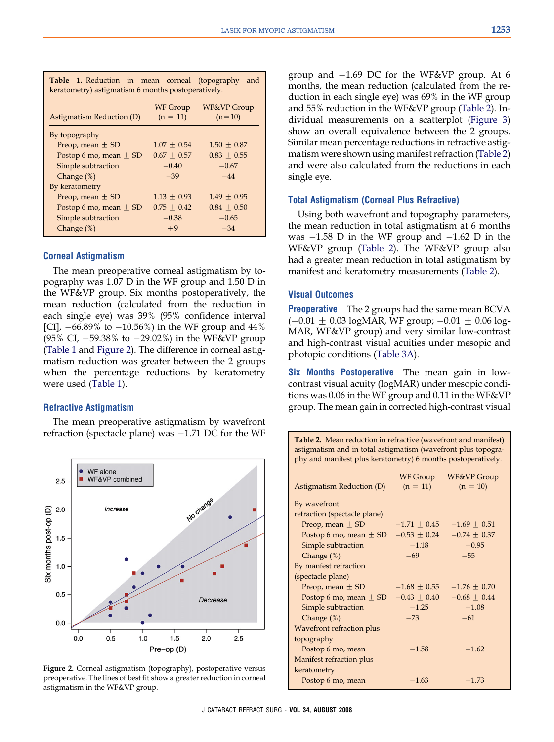<span id="page-3-0"></span>

| Table 1. Reduction in mean corneal (topography<br>and<br>keratometry) astigmatism 6 months postoperatively. |                               |                                    |
|-------------------------------------------------------------------------------------------------------------|-------------------------------|------------------------------------|
| Astigmatism Reduction (D)                                                                                   | <b>WF Group</b><br>$(n = 11)$ | <b>WF&amp;VP Group</b><br>$(n=10)$ |
| By topography                                                                                               |                               |                                    |
| Preop, mean $\pm$ SD                                                                                        | $1.07 \pm 0.54$               | $1.50 \pm 0.87$                    |
| Postop 6 mo, mean $\pm$ SD                                                                                  | $0.67 + 0.57$                 | $0.83 \pm 0.55$                    |
| Simple subtraction                                                                                          | $-0.40$                       | $-0.67$                            |
| Change $(\%)$                                                                                               | $-39$                         | $-44$                              |
| By keratometry                                                                                              |                               |                                    |
| Preop, mean $\pm$ SD                                                                                        | $1.13 + 0.93$                 | $1.49 \pm 0.95$                    |
| Postop 6 mo, mean $\pm$ SD                                                                                  | $0.75 \pm 0.42$               | $0.84 \pm 0.50$                    |
| Simple subtraction                                                                                          | $-0.38$                       | $-0.65$                            |
| Change $(\%)$                                                                                               | $+9$                          | $-34$                              |

## Corneal Astigmatism

The mean preoperative corneal astigmatism by topography was 1.07 D in the WF group and 1.50 D in the WF&VP group. Six months postoperatively, the mean reduction (calculated from the reduction in each single eye) was 39% (95% confidence interval [CI],  $-66.89\%$  to  $-10.56\%$ ) in the WF group and  $44\%$ (95% CI, -59.38% to -29.02%) in the WF&VP group (Table 1 and Figure 2). The difference in corneal astigmatism reduction was greater between the 2 groups when the percentage reductions by keratometry were used (Table 1).

#### Refractive Astigmatism

The mean preoperative astigmatism by wavefront refraction (spectacle plane) was  $-1.71$  DC for the WF



Figure 2. Corneal astigmatism (topography), postoperative versus preoperative. The lines of best fit show a greater reduction in corneal astigmatism in the WF&VP group.

group and -1.69 DC for the WF&VP group. At 6 months, the mean reduction (calculated from the reduction in each single eye) was 69% in the WF group and 55% reduction in the WF&VP group (Table 2). Individual measurements on a scatterplot [\(Figure 3\)](#page-4-0) show an overall equivalence between the 2 groups. Similar mean percentage reductions in refractive astigmatism were shown using manifest refraction (Table 2) and were also calculated from the reductions in each single eye.

### Total Astigmatism (Corneal Plus Refractive)

Using both wavefront and topography parameters, the mean reduction in total astigmatism at 6 months was  $-1.58$  D in the WF group and  $-1.62$  D in the WF&VP group (Table 2). The WF&VP group also had a greater mean reduction in total astigmatism by manifest and keratometry measurements (Table 2).

## Visual Outcomes

**Preoperative** The 2 groups had the same mean BCVA (– $0.01\pm0.03$  logMAR, WF group; – $0.01\pm0.06$  log-MAR, WF&VP group) and very similar low-contrast and high-contrast visual acuities under mesopic and photopic conditions ([Table 3A](#page-4-0)).

Six Months Postoperative The mean gain in lowcontrast visual acuity (logMAR) under mesopic conditions was 0.06 in the WF group and 0.11 in the WF&VP group. The mean gain in corrected high-contrast visual

Table 2. Mean reduction in refractive (wavefront and manifest) astigmatism and in total astigmatism (wavefront plus topography and manifest plus keratometry) 6 months postoperatively.

| Astigmatism Reduction (D)    | WF Group<br>$(n = 11)$ | WF&VP Group<br>$(n = 10)$ |
|------------------------------|------------------------|---------------------------|
| By wavefront                 |                        |                           |
| refraction (spectacle plane) |                        |                           |
| Preop, mean $\pm$ SD         | $-1.71 \pm 0.45$       | $-1.69 \pm 0.51$          |
| Postop 6 mo, mean $\pm$ SD   | $-0.53 \pm 0.24$       | $-0.74 \pm 0.37$          |
| Simple subtraction           | $-1.18$                | $-0.95$                   |
| Change $(\%)$                | $-69$                  | $-55$                     |
| By manfest refraction        |                        |                           |
| (spectacle plane)            |                        |                           |
| Preop, mean $\pm$ SD         | $-1.68 \pm 0.55$       | $-1.76 \pm 0.70$          |
| Postop 6 mo, mean $\pm$ SD   | $-0.43 \pm 0.40$       | $-0.68 \pm 0.44$          |
| Simple subtraction           | $-1.25$                | $-1.08$                   |
| Change $(\%)$                | $-73$                  | $-61$                     |
| Wavefront refraction plus    |                        |                           |
| topography                   |                        |                           |
| Postop 6 mo, mean            | $-1.58$                | $-1.62$                   |
| Manifest refraction plus     |                        |                           |
| keratometry                  |                        |                           |
| Postop 6 mo, mean            | $-1.63$                | $-1.73$                   |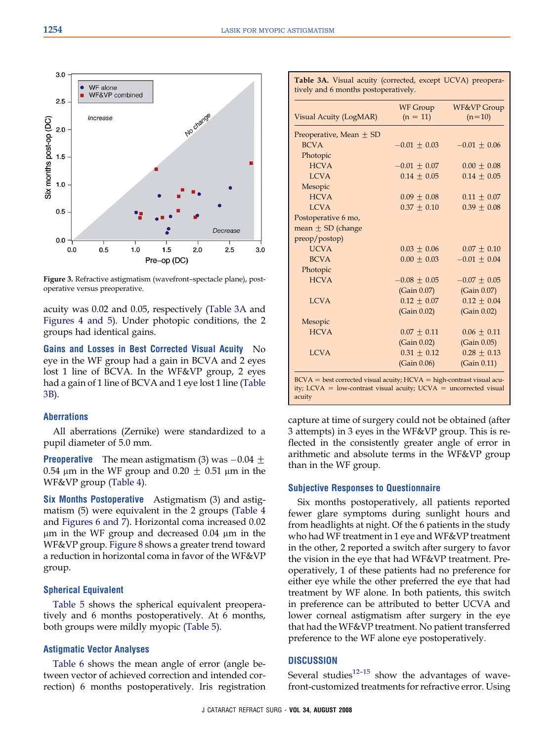<span id="page-4-0"></span>

Figure 3. Refractive astigmatism (wavefront–spectacle plane), postoperative versus preoperative.

acuity was 0.02 and 0.05, respectively (Table 3A and [Figures 4 and 5\)](#page-5-0). Under photopic conditions, the 2 groups had identical gains.

Gains and Losses in Best Corrected Visual Acuity No eye in the WF group had a gain in BCVA and 2 eyes lost 1 line of BCVA. In the WF&VP group, 2 eyes had a gain of 1 line of BCVA and 1 eye lost 1 line ([Table](#page-5-0) [3B\)](#page-5-0).

## **Aberrations**

All aberrations (Zernike) were standardized to a pupil diameter of 5.0 mm.

**Preoperative** The mean astigmatism (3) was  $-0.04 \pm 0.04$ 0.54 µm in the WF group and 0.20  $\pm$  0.51 µm in the WF&VP group ([Table 4](#page-6-0)).

Six Months Postoperative Astigmatism (3) and astigmatism (5) were equivalent in the 2 groups ([Table 4](#page-6-0) and [Figures 6 and 7\)](#page-6-0). Horizontal coma increased 0.02  $\mu$ m in the WF group and decreased 0.04  $\mu$ m in the WF&VP group. [Figure 8](#page-7-0) shows a greater trend toward a reduction in horizontal coma in favor of the WF&VP group.

## Spherical Equivalent

[Table 5](#page-7-0) shows the spherical equivalent preoperatively and 6 months postoperatively. At 6 months, both groups were mildly myopic ([Table 5\)](#page-7-0).

#### Astigmatic Vector Analyses

[Table 6](#page-7-0) shows the mean angle of error (angle between vector of achieved correction and intended correction) 6 months postoperatively. Iris registration

| <b>Visual Acuity (LogMAR)</b> | WF Group<br>$(n = 11)$ | WF&VP Group<br>$(n=10)$ |
|-------------------------------|------------------------|-------------------------|
| Preoperative, Mean $\pm$ SD   |                        |                         |
| <b>BCVA</b>                   | $-0.01 \pm 0.03$       | $-0.01 \pm 0.06$        |
| Photopic                      |                        |                         |
| <b>HCVA</b>                   | $-0.01 \pm 0.07$       | $0.00 + 0.08$           |
| <b>LCVA</b>                   | $0.14 + 0.05$          | $0.14 + 0.05$           |
| Mesopic                       |                        |                         |
| <b>HCVA</b>                   | $0.09 \pm 0.08$        | $0.11 \pm 0.07$         |
| <b>LCVA</b>                   | $0.37 \pm 0.10$        | $0.39 + 0.08$           |
| Postoperative 6 mo,           |                        |                         |
| mean $\pm$ SD (change         |                        |                         |
| preop/postop)                 |                        |                         |
| <b>UCVA</b>                   | $0.03 + 0.06$          | $0.07 + 0.10$           |
| <b>BCVA</b>                   | $0.00 \pm 0.03$        | $-0.01 + 0.04$          |
| Photopic                      |                        |                         |
| <b>HCVA</b>                   | $-0.08 \pm 0.05$       | $-0.07 \pm 0.05$        |
|                               | (Gain 0.07)            | (Gain 0.07)             |
| <b>LCVA</b>                   | $0.12 \pm 0.07$        | $0.12 \pm 0.04$         |
|                               | (Gain 0.02)            | (Gain 0.02)             |
| Mesopic                       |                        |                         |
| <b>HCVA</b>                   | $0.07 \pm 0.11$        | $0.06 \pm 0.11$         |
|                               | (Gain 0.02)            | (Gain 0.05)             |
| <b>LCVA</b>                   | $0.31 \pm 0.12$        | $0.28 \pm 0.13$         |
|                               | (Gain 0.06)            | (Gain 0.11)             |

ity; LCVA = low-contrast visual acuity;  $UCVA =$  uncorrected visual acuity

capture at time of surgery could not be obtained (after 3 attempts) in 3 eyes in the WF&VP group. This is reflected in the consistently greater angle of error in arithmetic and absolute terms in the WF&VP group than in the WF group.

### Subjective Responses to Questionnaire

Six months postoperatively, all patients reported fewer glare symptoms during sunlight hours and from headlights at night. Of the 6 patients in the study who had WF treatment in 1 eye and WF&VP treatment in the other, 2 reported a switch after surgery to favor the vision in the eye that had WF&VP treatment. Preoperatively, 1 of these patients had no preference for either eye while the other preferred the eye that had treatment by WF alone. In both patients, this switch in preference can be attributed to better UCVA and lower corneal astigmatism after surgery in the eye that had the WF&VP treatment. No patient transferred preference to the WF alone eye postoperatively.

# **DISCUSSION**

Several studies $12-15$  show the advantages of wavefront-customized treatments for refractive error. Using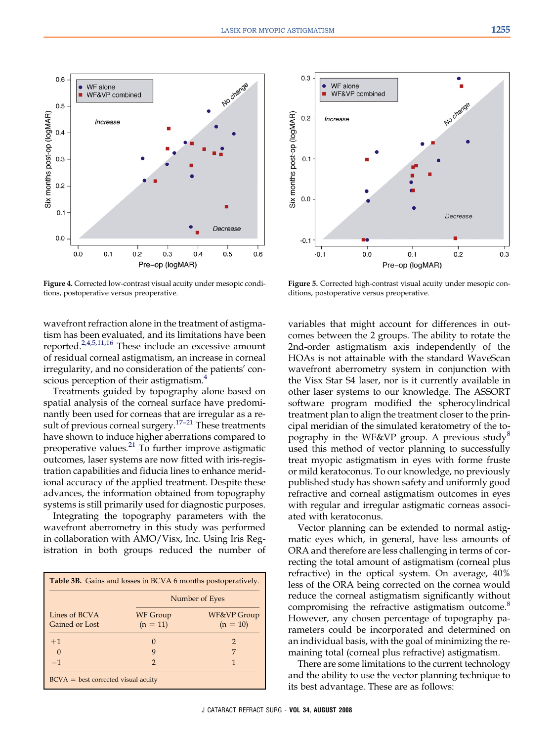<span id="page-5-0"></span>

Figure 4. Corrected low-contrast visual acuity under mesopic conditions, postoperative versus preoperative.

wavefront refraction alone in the treatment of astigmatism has been evaluated, and its limitations have been reported. $2,4,5,11,16$  These include an excessive amount of residual corneal astigmatism, an increase in corneal irregularity, and no consideration of the patients' con-scious perception of their astigmatism.<sup>[4](#page-9-0)</sup>

Treatments guided by topography alone based on spatial analysis of the corneal surface have predominantly been used for corneas that are irregular as a result of previous corneal surgery.<sup>17-21</sup> These treatments have shown to induce higher aberrations compared to preoperative values. $^{21}$  $^{21}$  $^{21}$  To further improve astigmatic outcomes, laser systems are now fitted with iris-registration capabilities and fiducia lines to enhance meridional accuracy of the applied treatment. Despite these advances, the information obtained from topography systems is still primarily used for diagnostic purposes.

Integrating the topography parameters with the wavefront aberrometry in this study was performed in collaboration with AMO/Visx, Inc. Using Iris Registration in both groups reduced the number of

|                | Number of Eyes |             |
|----------------|----------------|-------------|
| Lines of BCVA  | WF Group       | WF&VP Group |
| Gained or Lost | $(n = 11)$     | $(n = 10)$  |
| $+1$           |                | 2           |
| $\Omega$       | 9              | 7           |
| $-1$           | $\mathcal{D}$  |             |



Figure 5. Corrected high-contrast visual acuity under mesopic conditions, postoperative versus preoperative.

variables that might account for differences in outcomes between the 2 groups. The ability to rotate the 2nd-order astigmatism axis independently of the HOAs is not attainable with the standard WaveScan wavefront aberrometry system in conjunction with the Visx Star S4 laser, nor is it currently available in other laser systems to our knowledge. The ASSORT software program modified the spherocylindrical treatment plan to align the treatment closer to the principal meridian of the simulated keratometry of the to-pography in the WF&VP group. A previous study<sup>[8](#page-9-0)</sup> used this method of vector planning to successfully treat myopic astigmatism in eyes with forme fruste or mild keratoconus. To our knowledge, no previously published study has shown safety and uniformly good refractive and corneal astigmatism outcomes in eyes with regular and irregular astigmatic corneas associated with keratoconus.

Vector planning can be extended to normal astigmatic eyes which, in general, have less amounts of ORA and therefore are less challenging in terms of correcting the total amount of astigmatism (corneal plus refractive) in the optical system. On average, 40% less of the ORA being corrected on the cornea would reduce the corneal astigmatism significantly without compromising the refractive astigmatism outcome.<sup>[8](#page-9-0)</sup> However, any chosen percentage of topography parameters could be incorporated and determined on an individual basis, with the goal of minimizing the remaining total (corneal plus refractive) astigmatism.

There are some limitations to the current technology and the ability to use the vector planning technique to its best advantage. These are as follows: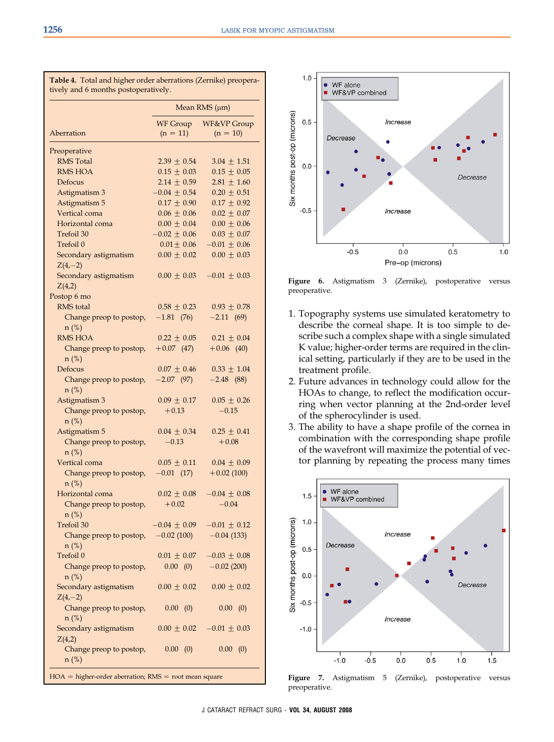<span id="page-6-0"></span>

| Mean RMS (µm)                                    |                  |                                   |
|--------------------------------------------------|------------------|-----------------------------------|
|                                                  | <b>WF Group</b>  | WF&VP Group                       |
| Aberration                                       | $(n = 11)$       | $(n = 10)$                        |
| Preoperative                                     |                  |                                   |
| <b>RMS</b> Total                                 | $2.39 \pm 0.54$  | $3.04 \pm 1.51$                   |
| <b>RMS HOA</b>                                   | $0.15 \pm 0.03$  | $0.15 \pm 0.05$                   |
| Defocus                                          | $2.14 \pm 0.59$  | $2.81 \pm 1.60$                   |
| Astigmatism 3                                    | $-0.04 \pm 0.54$ | $0.20 \pm 0.51$                   |
| Astigmatism 5                                    | $0.17 \pm 0.90$  | $0.17 \pm 0.92$                   |
| Vertical coma                                    | $0.06 \pm 0.06$  | $0.02 \pm 0.07$                   |
| Horizontal coma                                  | $0.00 \pm 0.04$  | $0.00 \pm 0.06$                   |
| Trefoil 30                                       | $-0.02 \pm 0.06$ | $0.03 \pm 0.07$                   |
| Trefoil 0                                        | $0.01 \pm 0.06$  | $-0.01 \pm 0.06$                  |
| Secondary astigmatism                            | $0.00 \pm 0.02$  | $0.00 \pm 0.03$                   |
| $Z(4,-2)$                                        |                  |                                   |
| Secondary astigmatism                            | $0.00 \pm 0.03$  | $-0.01 \pm 0.03$                  |
| Z(4,2)                                           |                  |                                   |
| Postop 6 mo                                      |                  |                                   |
| <b>RMS</b> total                                 | $0.58 \pm 0.23$  | $0.93 \pm 0.78$                   |
| Change preop to postop,<br>$n$ (%)               | $-1.81(76)$      | $-2.11(69)$                       |
| <b>RMS HOA</b>                                   | $0.22 \pm 0.05$  | $0.21 \pm 0.04$                   |
| Change preop to postop,<br>n (%)                 | $+0.07(47)$      | $+0.06$ (40)                      |
| Defocus                                          | $0.07 \pm 0.46$  | $0.33 \pm 1.04$                   |
| Change preop to postop,<br>$n$ (%)               | $-2.07$ (97)     | $-2.48$ (88)                      |
| Astigmatism 3                                    | $0.09 \pm 0.17$  | $0.05 \pm 0.26$                   |
| Change preop to postop,<br>$n$ (%)               | $+0.13$          | $-0.15$                           |
| Astigmatism 5                                    | $0.04 \pm 0.34$  | $0.25 \pm 0.41$                   |
| Change preop to postop,                          | $-0.13$          | $+0.08$                           |
| $n$ (%)                                          |                  |                                   |
| Vertical coma                                    | $0.05 \pm 0.11$  | $0.04 \pm 0.09$                   |
| Change preop to postop,<br>$n$ (%)               | $-0.01$ (17)     | $+0.02(100)$                      |
| Horizontal coma                                  | $0.02 \pm 0.08$  | $-0.04 \pm 0.08$                  |
| Change preop to postop,                          | $+0.02$          | $-0.04$                           |
| n (%)                                            |                  |                                   |
| Trefoil 30                                       |                  | $-0.04 \pm 0.09$ $-0.01 \pm 0.12$ |
| Change preop to postop, $-0.02$ (100)<br>$n$ (%) |                  | $-0.04(133)$                      |
| Trefoil 0                                        | $0.01 \pm 0.07$  | $-0.03 \pm 0.08$                  |
| Change preop to postop,<br>$n$ (%)               |                  | $0.00$ (0) $-0.02$ (200)          |
| Secondary astigmatism<br>$Z(4,-2)$               | $0.00 \pm 0.02$  | $0.00 \pm 0.02$                   |
| Change preop to postop,<br>n (%)                 | 0.00(0)          | $0.00$ $(0)$                      |
| Secondary astigmatism                            |                  | $0.00 \pm 0.02$ -0.01 $\pm$ 0.03  |
| Z(4,2)<br>Change preop to postop,<br>$n$ (%)     | $0.00 \quad (0)$ | $0.00$ (0)                        |



Figure 6. Astigmatism 3 (Zernike), postoperative versus preoperative.

- 1. Topography systems use simulated keratometry to describe the corneal shape. It is too simple to describe such a complex shape with a single simulated K value; higher-order terms are required in the clinical setting, particularly if they are to be used in the treatment profile.
- 2. Future advances in technology could allow for the HOAs to change, to reflect the modification occurring when vector planning at the 2nd-order level of the spherocylinder is used.
- 3. The ability to have a shape profile of the cornea in combination with the corresponding shape profile of the wavefront will maximize the potential of vector planning by repeating the process many times



Figure 7. Astigmatism 5 (Zernike), postoperative versus preoperative.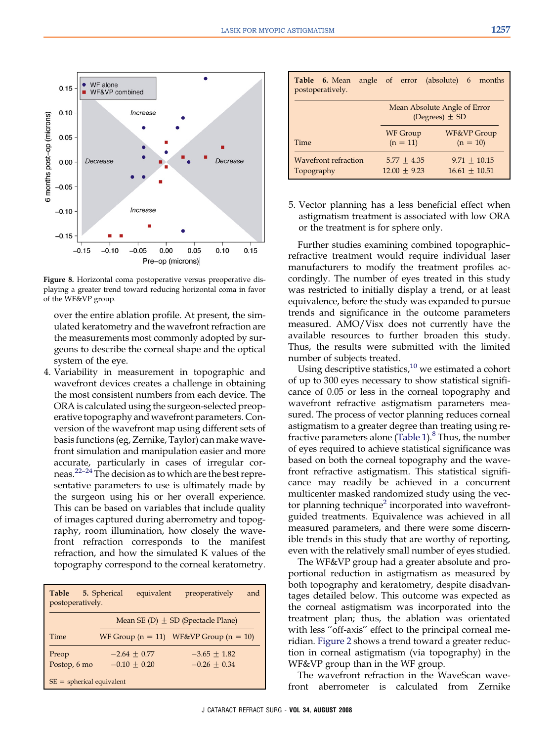<span id="page-7-0"></span>

Figure 8. Horizontal coma postoperative versus preoperative displaying a greater trend toward reducing horizontal coma in favor of the WF&VP group.

over the entire ablation profile. At present, the simulated keratometry and the wavefront refraction are the measurements most commonly adopted by surgeons to describe the corneal shape and the optical system of the eye.

4. Variability in measurement in topographic and wavefront devices creates a challenge in obtaining the most consistent numbers from each device. The ORA is calculated using the surgeon-selected preoperative topography and wavefront parameters. Conversion of the wavefront map using different sets of basis functions (eg, Zernike, Taylor) can make wavefront simulation and manipulation easier and more accurate, particularly in cases of irregular corneas[.22–24](#page-9-0) The decision as to which are the best representative parameters to use is ultimately made by the surgeon using his or her overall experience. This can be based on variables that include quality of images captured during aberrometry and topography, room illumination, how closely the wavefront refraction corresponds to the manifest refraction, and how the simulated K values of the topography correspond to the corneal keratometry.

| <b>Table</b> 5. Spherical<br>postoperatively. | equivalent       | preoperatively                             | and |
|-----------------------------------------------|------------------|--------------------------------------------|-----|
| Mean SE (D) $\pm$ SD (Spectacle Plane)        |                  |                                            |     |
| Time                                          |                  | WF Group $(n = 11)$ WF&VP Group $(n = 10)$ |     |
| Preop                                         | $-2.64 + 0.77$   | $-3.65 + 1.82$                             |     |
| Postop, 6 mo                                  | $-0.10 \pm 0.20$ | $-0.26 + 0.34$                             |     |
| $SE = spherical$ equivalent                   |                  |                                            |     |

| <b>Table 6.</b> Mean angle of error (absolute) 6 months<br>postoperatively. |                                 |                                   |
|-----------------------------------------------------------------------------|---------------------------------|-----------------------------------|
| Mean Absolute Angle of Error<br>(Degrees) $\pm$ SD                          |                                 |                                   |
| Time                                                                        | WF Group<br>$(n = 11)$          | WF&VP Group<br>$(n = 10)$         |
| Wavefront refraction<br>Topography                                          | $5.77 + 4.35$<br>$12.00 + 9.23$ | $9.71 + 10.15$<br>$16.61 + 10.51$ |

5. Vector planning has a less beneficial effect when astigmatism treatment is associated with low ORA or the treatment is for sphere only.

Further studies examining combined topographic– refractive treatment would require individual laser manufacturers to modify the treatment profiles accordingly. The number of eyes treated in this study was restricted to initially display a trend, or at least equivalence, before the study was expanded to pursue trends and significance in the outcome parameters measured. AMO/Visx does not currently have the available resources to further broaden this study. Thus, the results were submitted with the limited number of subjects treated.

Using descriptive statistics, $10$  we estimated a cohort of up to 300 eyes necessary to show statistical significance of 0.05 or less in the corneal topography and wavefront refractive astigmatism parameters measured. The process of vector planning reduces corneal astigmatism to a greater degree than treating using re-fractive parameters alone ([Table 1\)](#page-3-0). $8$  Thus, the number of eyes required to achieve statistical significance was based on both the corneal topography and the wavefront refractive astigmatism. This statistical significance may readily be achieved in a concurrent multicenter masked randomized study using the vec-tor planning technique<sup>[2](#page-9-0)</sup> incorporated into wavefrontguided treatments. Equivalence was achieved in all measured parameters, and there were some discernible trends in this study that are worthy of reporting, even with the relatively small number of eyes studied.

The WF&VP group had a greater absolute and proportional reduction in astigmatism as measured by both topography and keratometry, despite disadvantages detailed below. This outcome was expected as the corneal astigmatism was incorporated into the treatment plan; thus, the ablation was orientated with less ''off-axis'' effect to the principal corneal meridian. [Figure 2](#page-3-0) shows a trend toward a greater reduction in corneal astigmatism (via topography) in the WF&VP group than in the WF group.

The wavefront refraction in the WaveScan wavefront aberrometer is calculated from Zernike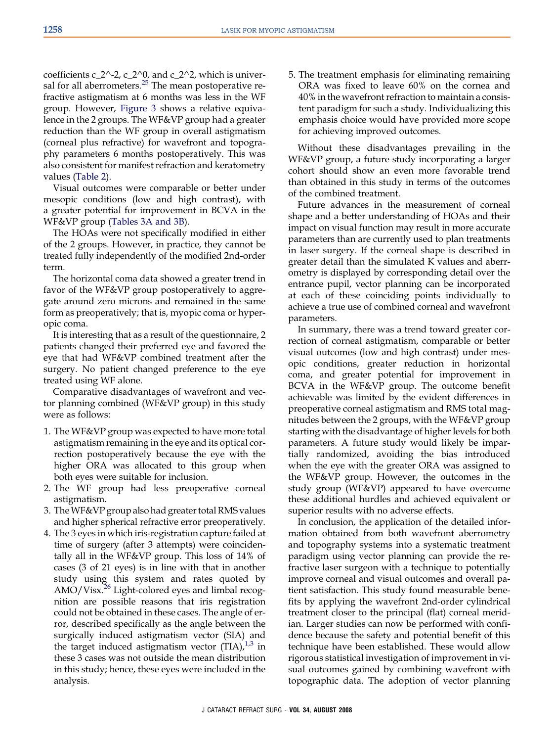coefficients c\_2^-2, c\_2^0, and c\_2^2, which is universal for all aberrometers. $25$  The mean postoperative refractive astigmatism at 6 months was less in the WF group. However, [Figure 3](#page-4-0) shows a relative equivalence in the 2 groups. The WF&VP group had a greater reduction than the WF group in overall astigmatism (corneal plus refractive) for wavefront and topography parameters 6 months postoperatively. This was also consistent for manifest refraction and keratometry values [\(Table 2\)](#page-3-0).

Visual outcomes were comparable or better under mesopic conditions (low and high contrast), with a greater potential for improvement in BCVA in the WF&VP group ([Tables 3A and 3B\)](#page-4-0).

The HOAs were not specifically modified in either of the 2 groups. However, in practice, they cannot be treated fully independently of the modified 2nd-order term.

The horizontal coma data showed a greater trend in favor of the WF&VP group postoperatively to aggregate around zero microns and remained in the same form as preoperatively; that is, myopic coma or hyperopic coma.

It is interesting that as a result of the questionnaire, 2 patients changed their preferred eye and favored the eye that had WF&VP combined treatment after the surgery. No patient changed preference to the eye treated using WF alone.

Comparative disadvantages of wavefront and vector planning combined (WF&VP group) in this study were as follows:

- 1. The WF&VP group was expected to have more total astigmatism remaining in the eye and its optical correction postoperatively because the eye with the higher ORA was allocated to this group when both eyes were suitable for inclusion.
- 2. The WF group had less preoperative corneal astigmatism.
- 3. TheWF&VP group also had greater total RMS values and higher spherical refractive error preoperatively.
- 4. The 3 eyes in which iris-registration capture failed at time of surgery (after 3 attempts) were coincidentally all in the WF&VP group. This loss of 14% of cases (3 of 21 eyes) is in line with that in another study using this system and rates quoted by AMO/Visx. $^{26}$  $^{26}$  $^{26}$  Light-colored eyes and limbal recognition are possible reasons that iris registration could not be obtained in these cases. The angle of error, described specifically as the angle between the surgically induced astigmatism vector (SIA) and the target induced astigmatism vector  $(TIA)<sub>1,3</sub>$  $(TIA)<sub>1,3</sub>$  $(TIA)<sub>1,3</sub>$  in these 3 cases was not outside the mean distribution in this study; hence, these eyes were included in the analysis.

5. The treatment emphasis for eliminating remaining ORA was fixed to leave 60% on the cornea and 40% in the wavefront refraction to maintain a consistent paradigm for such a study. Individualizing this emphasis choice would have provided more scope for achieving improved outcomes.

Without these disadvantages prevailing in the WF&VP group, a future study incorporating a larger cohort should show an even more favorable trend than obtained in this study in terms of the outcomes of the combined treatment.

Future advances in the measurement of corneal shape and a better understanding of HOAs and their impact on visual function may result in more accurate parameters than are currently used to plan treatments in laser surgery. If the corneal shape is described in greater detail than the simulated K values and aberrometry is displayed by corresponding detail over the entrance pupil, vector planning can be incorporated at each of these coinciding points individually to achieve a true use of combined corneal and wavefront parameters.

In summary, there was a trend toward greater correction of corneal astigmatism, comparable or better visual outcomes (low and high contrast) under mesopic conditions, greater reduction in horizontal coma, and greater potential for improvement in BCVA in the WF&VP group. The outcome benefit achievable was limited by the evident differences in preoperative corneal astigmatism and RMS total magnitudes between the 2 groups, with the WF&VP group starting with the disadvantage of higher levels for both parameters. A future study would likely be impartially randomized, avoiding the bias introduced when the eye with the greater ORA was assigned to the WF&VP group. However, the outcomes in the study group (WF&VP) appeared to have overcome these additional hurdles and achieved equivalent or superior results with no adverse effects.

In conclusion, the application of the detailed information obtained from both wavefront aberrometry and topography systems into a systematic treatment paradigm using vector planning can provide the refractive laser surgeon with a technique to potentially improve corneal and visual outcomes and overall patient satisfaction. This study found measurable benefits by applying the wavefront 2nd-order cylindrical treatment closer to the principal (flat) corneal meridian. Larger studies can now be performed with confidence because the safety and potential benefit of this technique have been established. These would allow rigorous statistical investigation of improvement in visual outcomes gained by combining wavefront with topographic data. The adoption of vector planning